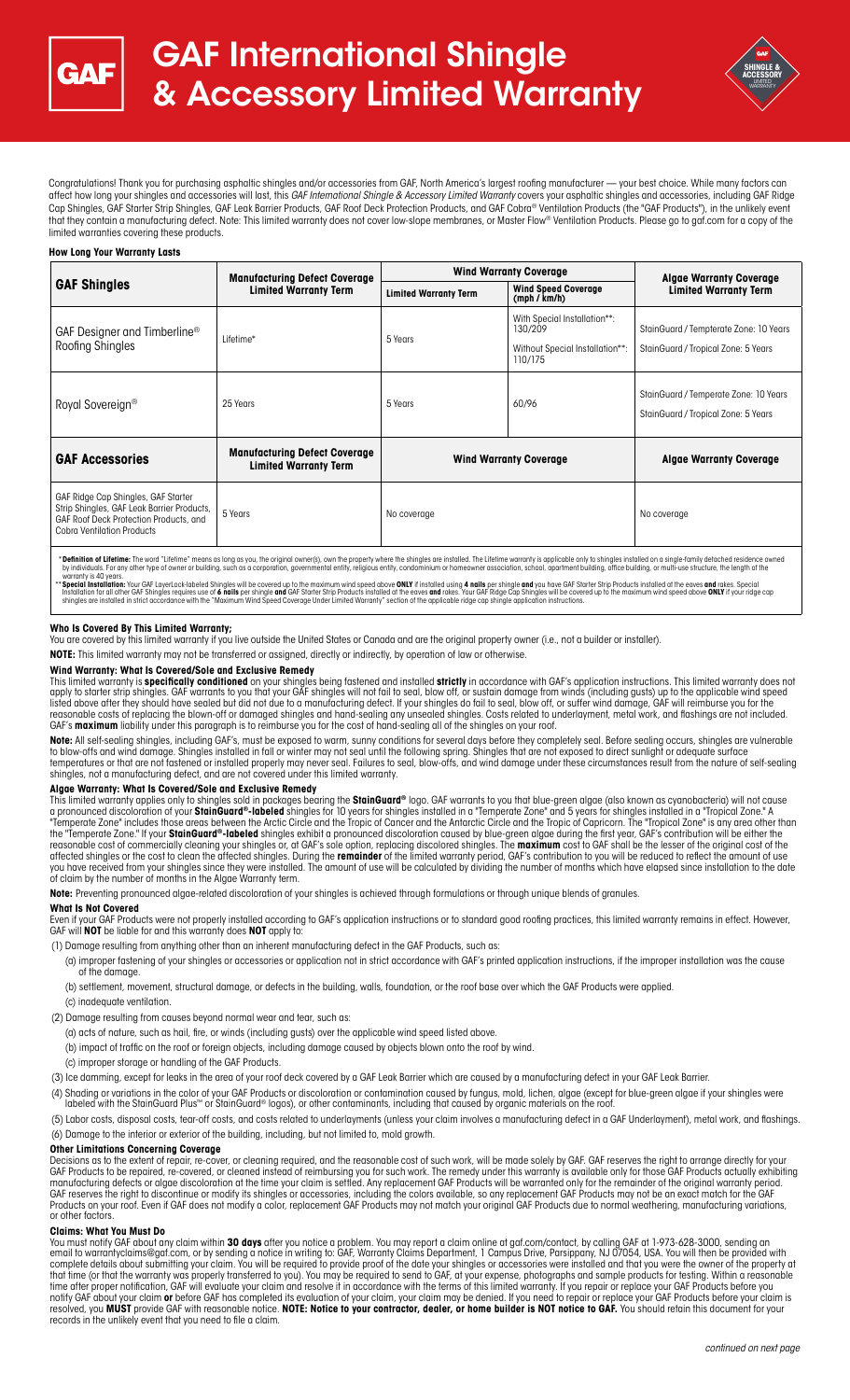

# GAF International Shingle & Accessory Limited Warranty



Congratulations! Thank you for purchasing asphaltic shingles and/or accessories from GAF, North America's largest roofing manufacturer — your best choice. While many factors can affect how long your shingles and accessories will last, this *GAF International Shingle & Accessory Limited Warranty* covers your asphaltic shingles and accessories, including GAF Ridge Cap Shingles, GAF Starter Strip Shingles, GAF Leak Barrier Products, GAF Roof Deck Protection Products, and GAF Cobra® Ventilation Products (the "GAF Products"), in the unlikely event that they contain a manufacturing defect. Note: This limited warranty does not cover low-slope membranes, or Master Flow® Ventilation Products. Please go to gaf.com for a copy of the limited warranties covering these products.

# **How Long Your Warranty Lasts**

| <b>GAF Shingles</b>                                                                                                                                              | <b>Manufacturing Defect Coverage</b><br><b>Limited Warranty Term</b> | <b>Wind Warranty Coverage</b> |                                                                                       | <b>Algae Warranty Coverage</b>                                                |
|------------------------------------------------------------------------------------------------------------------------------------------------------------------|----------------------------------------------------------------------|-------------------------------|---------------------------------------------------------------------------------------|-------------------------------------------------------------------------------|
|                                                                                                                                                                  |                                                                      | <b>Limited Warranty Term</b>  | <b>Wind Speed Coverage</b><br>(mph / km/h)                                            | <b>Limited Warranty Term</b>                                                  |
| GAF Designer and Timberline <sup>®</sup><br>Roofing Shingles                                                                                                     | Lifetime*                                                            | 5 Years                       | With Special Installation**:<br>130/209<br>Without Special Installation**:<br>110/175 | StainGuard / Tempterate Zone: 10 Years<br>StainGuard / Tropical Zone: 5 Years |
| Royal Sovereign <sup>®</sup>                                                                                                                                     | 25 Years                                                             | 5 Years                       | 60/96                                                                                 | StainGuard / Temperate Zone: 10 Years<br>StainGuard / Tropical Zone: 5 Years  |
| <b>GAF Accessories</b>                                                                                                                                           | <b>Manufacturing Defect Coverage</b><br><b>Limited Warranty Term</b> | <b>Wind Warranty Coverage</b> |                                                                                       | <b>Algae Warranty Coverage</b>                                                |
| GAF Ridge Cap Shingles, GAF Starter<br>Strip Shingles, GAF Leak Barrier Products,<br>GAF Roof Deck Protection Products, and<br><b>Cobra Ventilation Products</b> | 5 Years                                                              | No coverage                   |                                                                                       | No coverage                                                                   |

\* Definition of Lifetime: The word "Lifetime" means as long as you, the original owner(s), own the property where the shingles are installed. The Lifetime warranty is applicable only to shingles installed on a single-famil

warranty is 40 years.<br>\*\* **Special Installation:** Your GAF LayerLock-labeled Shingles will be covered up to the maximum wind speed above **ONLY** if installed using **4 nails** per shingle **and** you have GAF Starter Strip Produ

### **Who Is Covered By This Limited Warranty;**

You are covered by this limited warranty if you live outside the United States or Canada and are the original property owner (i.e., not a builder or installer).

**NOTE:** This limited warranty may not be transferred or assigned, directly or indirectly, by operation of law or otherwise.

#### **Wind Warranty: What Is Covered/Sole and Exclusive Remedy**

This limited warranty is **specifically conditioned** on your shingles being fastened and installed **strictly** in accordance with GAF's application instructions. This limited warranty does not apply to starter strip shingles. GAF warrants to you that your GAF shingles will not fail to seal, blow off, or sustain damage from winds (including gusts) up to the applicable wind speed listed above after they should have sealed but did not due to a manufacturing defect. If your shingles do fail to seal, blow off, or suffer wind damage, GAF will reimburse you for the reasonable costs of replacing the blown-off or damaged shingles and hand-sealing any unsealed shingles. Costs related to underlayment, metal work, and flashings are not included.<br>GAF's **maximum** liability under this paragr

**Note:** All self-sealing shingles, including GAF's, must be exposed to warm, sunny conditions for several days before they completely seal. Before sealing occurs, shingles are vulnerable to blow-offs and wind damage. Shingles installed in fall or winter may not seal until the following spring. Shingles that are not exposed to direct sunlight or adequate surface temperatures or that are not fastened or installed properly may never seal. Failures to seal, blow-offs, and wind damage under these circumstances result from the nature of self-sealing shingles, not a manufacturing defect, and are not covered under this limited warranty.

# **Algae Warranty: What Is Covered/Sole and Exclusive Remedy**

This limited warranty applies only to shingles sold in packages bearing the **StainGuard®** logo. GAF warrants to you that blue-green algae (also known as cyanobacteria) will not cause<br>a pronounced discoloration of your **Sta** "Temperate Zone" includes those areas between the Arctic Circle and the Tropic of Cancer and the Antarctic Circle and the Tropic of Capricorn. The "Tropical Zone" is any area other than the "Temperate Zone." If your **StainGuard®-labeled** shingles exhibit a pronounced discoloration caused by blue-green algae during the first year, GAF's contribution will be either the<br>reasonable cost of commercially cleani affected shingles or the cost to clean the affected shingles. During the **remainder** of the limited warranty period, GAF's contribution to you will be reduced to reflect the amount of use you have received from your shingles since they were installed. The amount of use will be calculated by dividing the number of months which have elapsed since installation to the date of claim by the number of months in the Algae Warranty term.

**Note:** Preventing pronounced algae-related discoloration of your shingles is achieved through formulations or through unique blends of granules.

#### **What Is Not Covered**

Even if your GAF Products were not properly installed according to GAF's application instructions or to standard good roofing practices, this limited warranty remains in effect. However, GAF will **NOT** be liable for and this warranty does **NOT** apply to:

(1) Damage resulting from anything other than an inherent manufacturing defect in the GAF Products, such as:

- (a) improper fastening of your shingles or accessories or application not in strict accordance with GAF's printed application instructions, if the improper installation was the cause of the damage.
- (b) settlement, movement, structural damage, or defects in the building, walls, foundation, or the roof base over which the GAF Products were applied.
- (c) inadequate ventilation.
- (2) Damage resulting from causes beyond normal wear and tear, such as:
- (a) acts of nature, such as hail, fire, or winds (including gusts) over the applicable wind speed listed above.
- (b) impact of traffic on the roof or foreign objects, including damage caused by objects blown onto the roof by wind.
- (c) improper storage or handling of the GAF Products.
- (3) Ice damming, except for leaks in the area of your roof deck covered by a GAF Leak Barrier which are caused by a manufacturing defect in your GAF Leak Barrier.

(4) Shading or variations in the color of your GAF Products or discoloration or contamination caused by fungus, mold, lichen, algae (except for blue-green algae if your shingles were<br>Iabeled with the StainGuard Plus™ or S

(5) Labor costs, disposal costs, tear-off costs, and costs related to underlayments (unless your claim involves a manufacturing defect in a GAF Underlayment), metal work, and flashings. (6) Damage to the interior or exterior of the building, including, but not limited to, mold growth.

# **Other Limitations Concerning Coverage**

Decisions as to the extent of repair, re-cover, or cleaning required, and the reasonable cost of such work, will be made solely by GAF. GAF reserves the right to arrange directly for your GAF Products to be repaired, re-covered, or cleaned instead of reimbursing you for such work. The remedy under this warranty is available only for those GAF Products actually exhibiting manufacturing defects or algae discoloration at the time your claim is settled. Any replacement GAF Products will be warranted only for the remainder of the original warranty period. GAF reserves the right to discontinue or modify its shingles or accessories, including the colors available, so any replacement GAF Products may not be an exact match for the GAF Products on your roof. Even if GAF does not modify a color, replacement GAF Products may not match your original GAF Products due to normal weathering, manufacturing variations, or other factors.

# **Claims: What You Must Do**

You must notify GAF about any claim within **30 days** after you notice a problem. You may report a claim online at gaf.com/contact, by calling GAF at 1-973-628-3000, sending an email to warrantyclaims@gaf.com, or by sending a notice in writing to: GAF, Warranty Claims Department, 1 Campus Drive, Parsippany, NJ 07054, USA. You will then be provided with complete details about submitting your claim. You will be required to provide proof of the date your shingles or accessories were installed and that you were the owner of the property at that time (or that the warranty was properly transferred to you). You may be required to send to GAF, at your expense, photographs and sample products for testing. Within a reasonable time after proper notification, GAF will evaluate your claim and resolve it in accordance with the terms of this limited warranty. If you repair or replace your GAF Products before you<br>notify GAF about your claim **or** befo resolved, you **MUST** provide GAF with reasonable notice. **NOTE: Notice to your contractor, dealer, or home builder is NOT notice to GAF.** You should retain this document for your records in the unlikely event that you need to file a claim.